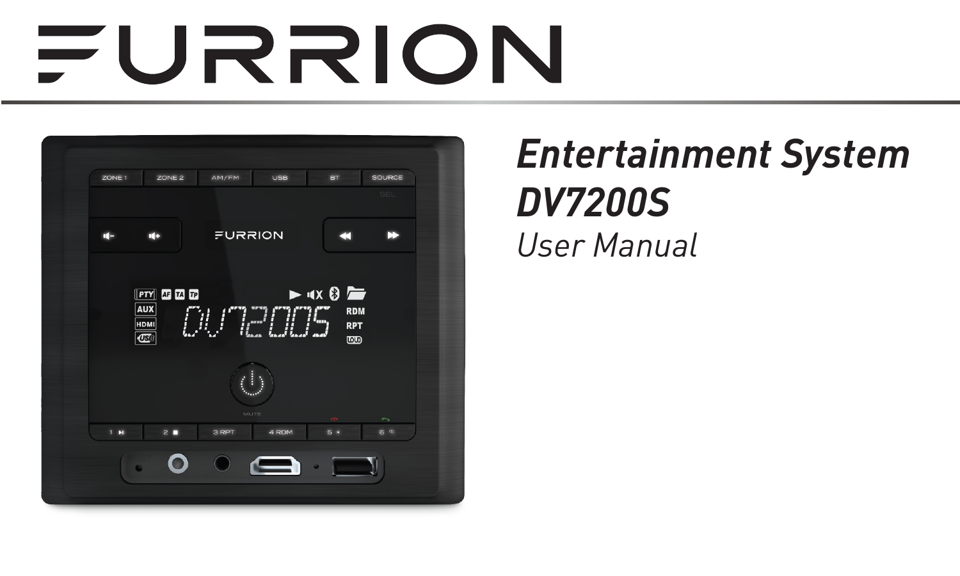# FURRION



### *Entertainment System DV7200S User Manual*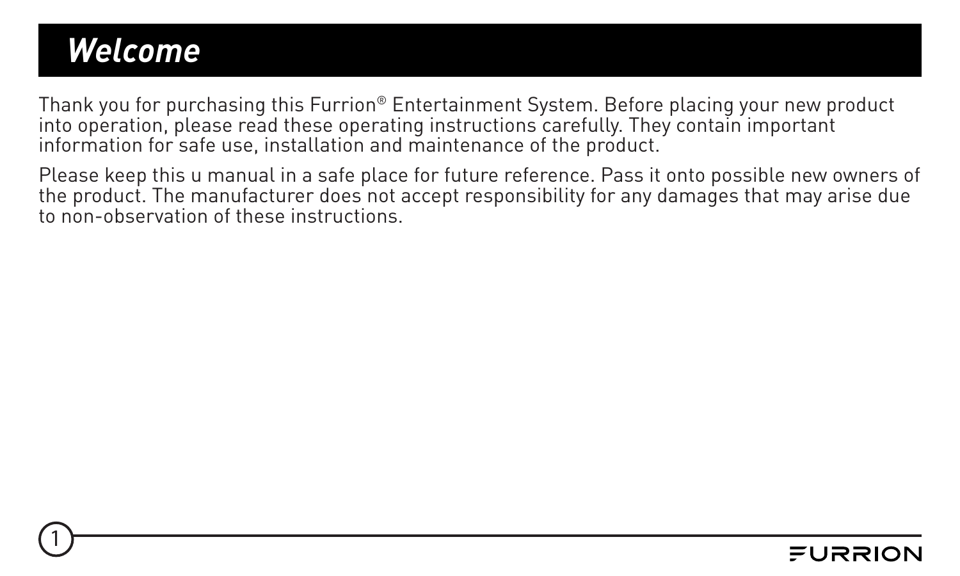### <span id="page-1-0"></span>*Welcome*

1

Thank you for purchasing this Furrion® Entertainment System. Before placing your new product into operation, please read these operating instructions carefully. They contain important information for safe use, installation and maintenance of the product.

Please keep this u manual in a safe place for future reference. Pass it onto possible new owners of the product. The manufacturer does not accept responsibility for any damages that may arise due to non-observation of these instructions.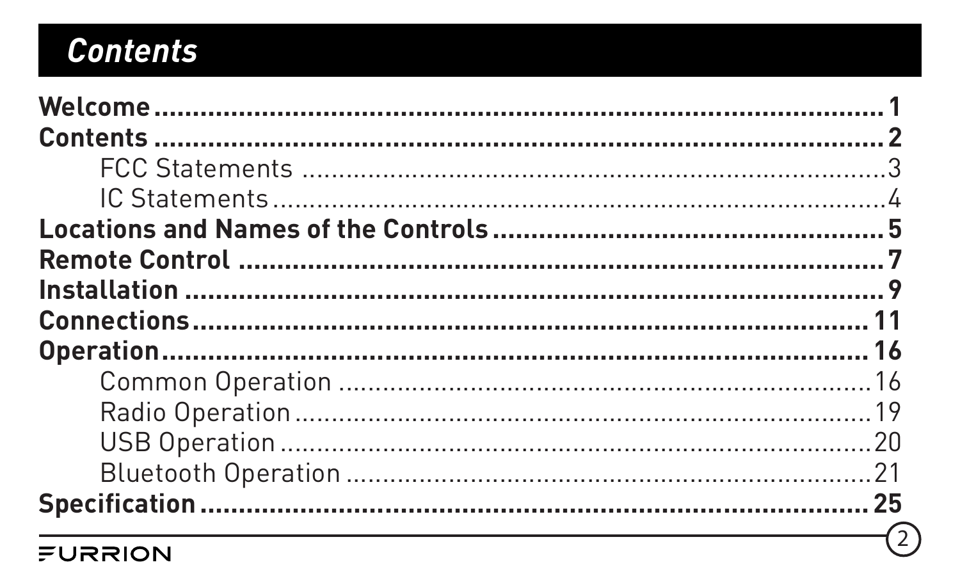### **Contents**

|         | €) |
|---------|----|
| FURRION |    |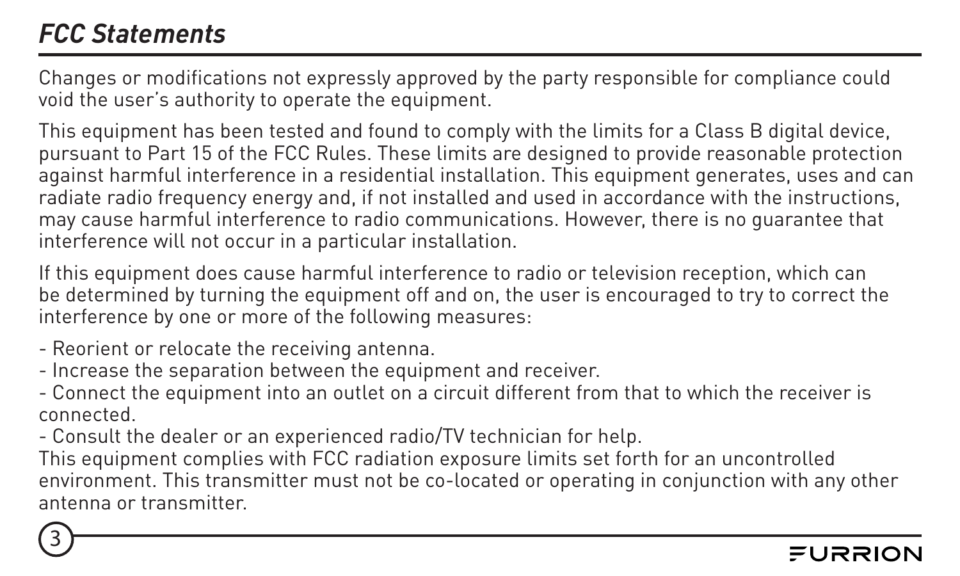#### <span id="page-3-0"></span>*FCC Statements*

3

Changes or modifications not expressly approved by the party responsible for compliance could void the user's authority to operate the equipment.

This equipment has been tested and found to comply with the limits for a Class B digital device. pursuant to Part 15 of the FCC Rules. These limits are designed to provide reasonable protection against harmful interference in a residential installation. This equipment generates, uses and can radiate radio frequency energy and, if not installed and used in accordance with the instructions, may cause harmful interference to radio communications. However, there is no guarantee that interference will not occur in a particular installation.

If this equipment does cause harmful interference to radio or television reception, which can be determined by turning the equipment off and on, the user is encouraged to try to correct the interference by one or more of the following measures:

- Reorient or relocate the receiving antenna.
- Increase the separation between the equipment and receiver.

- Connect the equipment into an outlet on a circuit different from that to which the receiver is connected.

- Consult the dealer or an experienced radio/TV technician for help.

This equipment complies with FCC radiation exposure limits set forth for an uncontrolled environment. This transmitter must not be co-located or operating in conjunction with any other antenna or transmitter.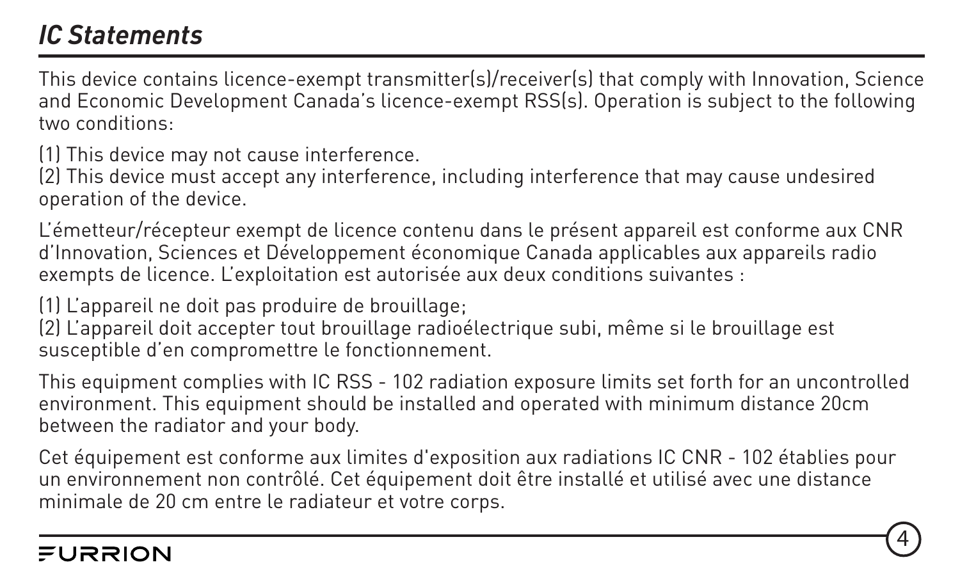#### <span id="page-4-0"></span>*IC Statements*

This device contains licence-exempt transmitter(s)/receiver(s) that comply with Innovation, Science and Economic Development Canada's licence-exempt RSS(s). Operation is subject to the following two conditions:

(1) This device may not cause interference.

(2) This device must accept any interference, including interference that may cause undesired operation of the device.

L'émetteur/récepteur exempt de licence contenu dans le présent appareil est conforme aux CNR d'Innovation, Sciences et Développement économique Canada applicables aux appareils radio exempts de licence. L'exploitation est autorisée aux deux conditions suivantes :

(1) L'appareil ne doit pas produire de brouillage;

(2) L'appareil doit accepter tout brouillage radioélectrique subi, même si le brouillage est susceptible d'en compromettre le fonctionnement.

This equipment complies with IC RSS - 102 radiation exposure limits set forth for an uncontrolled environment. This equipment should be installed and operated with minimum distance 20cm between the radiator and your body.

Cet équipement est conforme aux limites d'exposition aux radiations IC CNR - 102 établies pour un environnement non contrôlé. Cet équipement doit être installé et utilisé avec une distance minimale de 20 cm entre le radiateur et votre corps.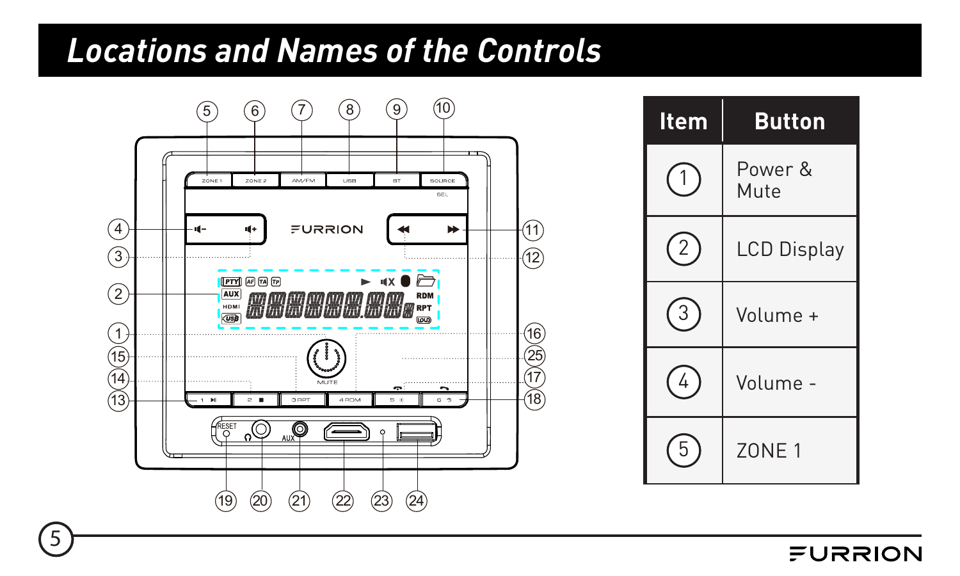### <span id="page-5-0"></span>*Locations and Names of the Controls*



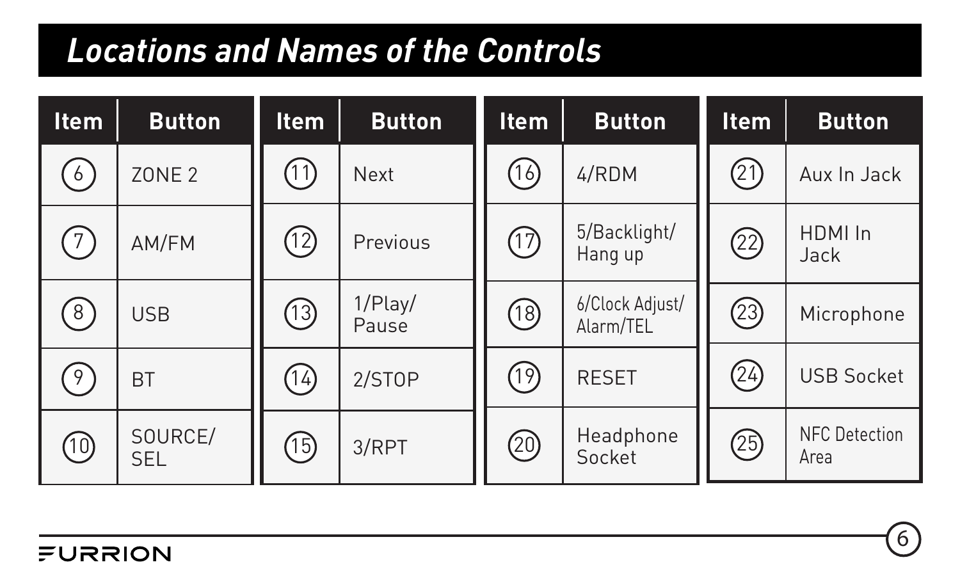### *Locations and Names of the Controls*

| <b>Item</b> | <b>Button</b>         | <b>Item</b> | <b>Button</b>    | <b>Item</b> | <b>Button</b>                | <b>Item</b> | <b>Button</b>                |
|-------------|-----------------------|-------------|------------------|-------------|------------------------------|-------------|------------------------------|
| $6^{\circ}$ | <b>ZONE 2</b>         | ①           | Next             | (16)        | 4/RDM                        | 21)         | Aux In Jack                  |
|             | AM/FM                 | 12          | Previous         | 仞           | 5/Backlight/<br>Hang up      | 2           | HDMI In<br>Jack              |
| 8)          | <b>USB</b>            | ⊕           | 1/Play/<br>Pause | (18)        | 6/Clock Adjust/<br>Alarm/TEL | 23)         | Microphone                   |
| 9           | <b>BT</b>             | 14)         | 2/STOP           | ণী          | <b>RESET</b>                 | @           | <b>USB Socket</b>            |
| (10)        | SOURCE/<br><b>SEL</b> | (15)        | 3/RPT            | @           | Headphone<br>Socket          | @           | <b>NFC</b> Detection<br>Area |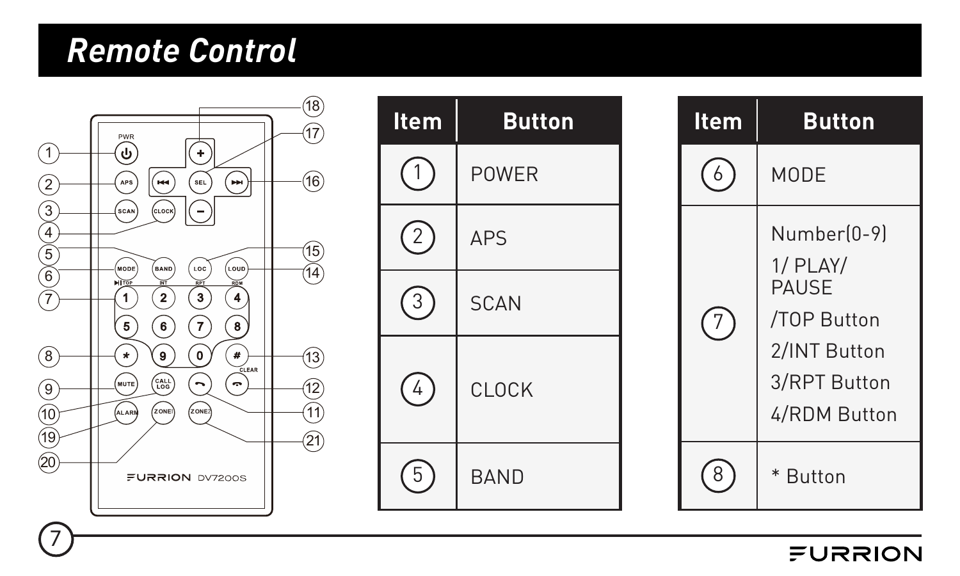### <span id="page-7-0"></span>*Remote Control*



| <b>Item</b> | <b>Button</b> |  |  |  |
|-------------|---------------|--|--|--|
|             | POWER         |  |  |  |
|             | APS           |  |  |  |
| 3           | <b>SCAN</b>   |  |  |  |
| 4           | CLOCK         |  |  |  |
|             | <b>BAND</b>   |  |  |  |

| ltem | <b>Button</b>                                                                                            |  |  |  |
|------|----------------------------------------------------------------------------------------------------------|--|--|--|
|      | MODE                                                                                                     |  |  |  |
|      | Number[0-9]<br>$1/$ PLAY/<br><b>PAUSE</b><br>/TOP Button<br>2/INT Button<br>3/RPT Button<br>4/RDM Button |  |  |  |
|      | * Button                                                                                                 |  |  |  |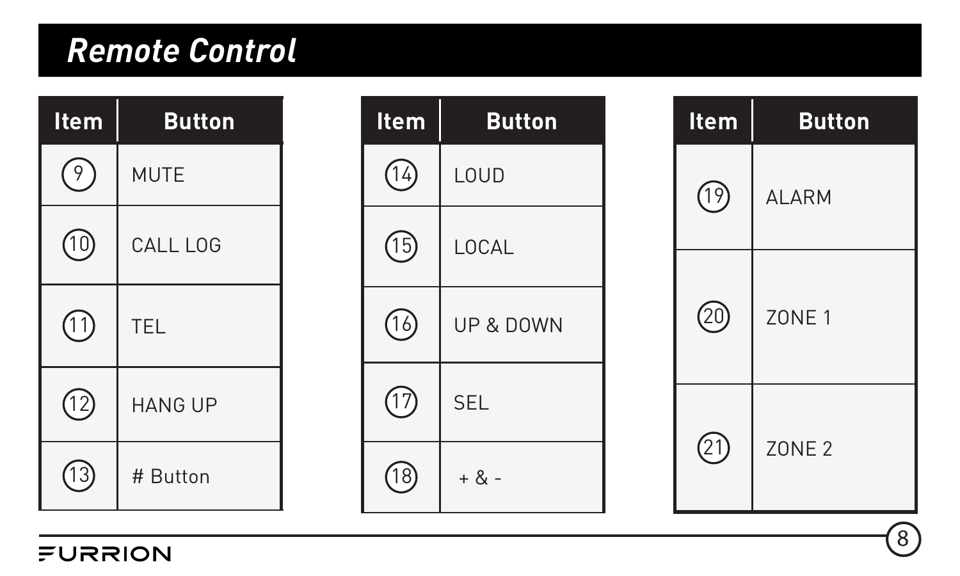### *Remote Control*

| Item          | <b>Button</b>  |  |  |  |
|---------------|----------------|--|--|--|
| $\frac{1}{9}$ | <b>MUTE</b>    |  |  |  |
| ⑪             | CALL LOG       |  |  |  |
| ⑴             | TFL            |  |  |  |
| (12)          | <b>HANG UP</b> |  |  |  |
|               | # Button       |  |  |  |

FURRION

| Item | <b>Button</b> |  |  |  |
|------|---------------|--|--|--|
| (14) | LOUD          |  |  |  |
| (15) | LOCAL         |  |  |  |
| 16)  | UP & DOWN     |  |  |  |
| ⑦    | <b>SEL</b>    |  |  |  |
|      | $+ 8 -$       |  |  |  |

| Item | <b>Button</b>     |  |  |  |  |
|------|-------------------|--|--|--|--|
| (19) | <b>ALARM</b>      |  |  |  |  |
| 20)  | ZONE <sub>1</sub> |  |  |  |  |
| (21) | <b>ZONE 2</b>     |  |  |  |  |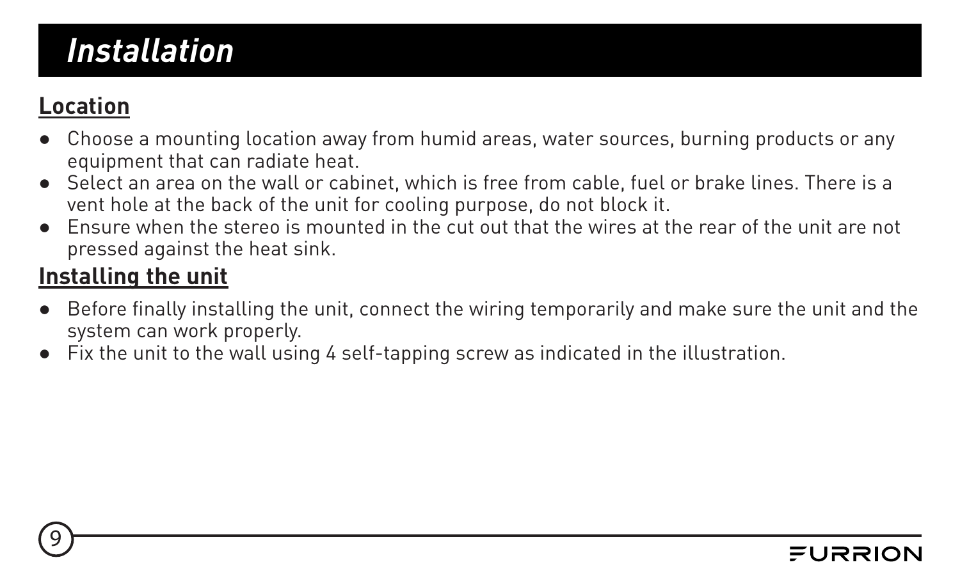### <span id="page-9-0"></span>*Installation*

#### **Location**

9

- Choose a mounting location away from humid areas, water sources, burning products or any equipment that can radiate heat.
- Select an area on the wall or cabinet, which is free from cable, fuel or brake lines. There is a vent hole at the back of the unit for cooling purpose, do not block it.
- Ensure when the stereo is mounted in the cut out that the wires at the rear of the unit are not pressed against the heat sink.

#### **Installing the unit**

- Before finally installing the unit, connect the wiring temporarily and make sure the unit and the system can work properly.
- Fix the unit to the wall using 4 self-tapping screw as indicated in the illustration.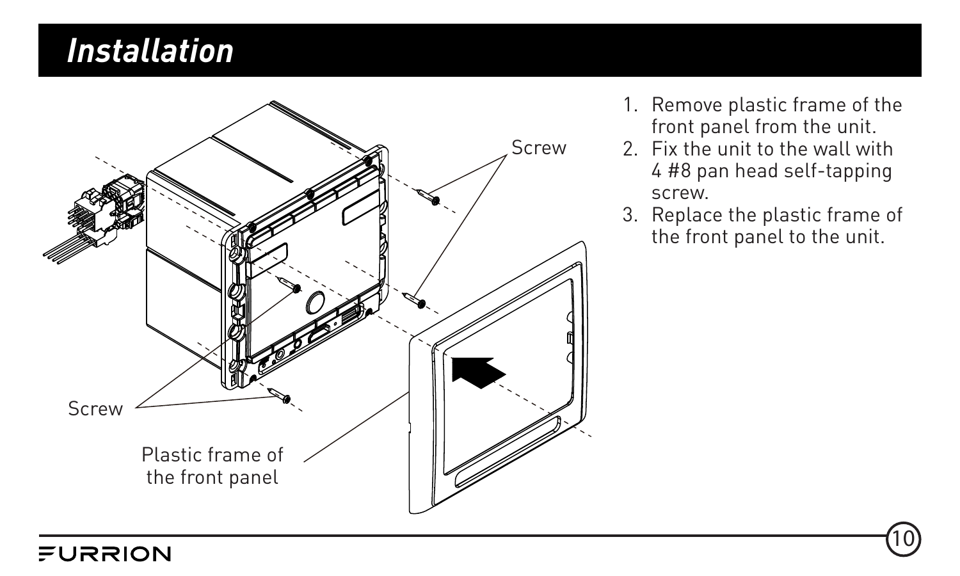#### *Installation*

FURRION



- 1. Remove plastic frame of the front panel from the unit.
- 2. Fix the unit to the wall with 4 #8 pan head self-tapping screw.
- 3. Replace the plastic frame of the front panel to the unit.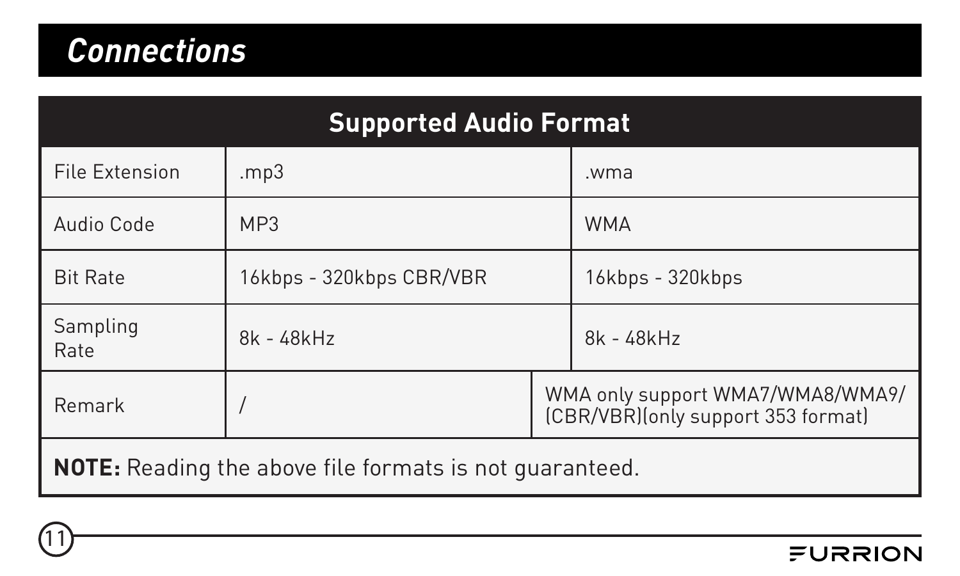<span id="page-11-0"></span>

| <b>Supported Audio Format</b>                                                     |                          |  |                  |  |  |  |
|-----------------------------------------------------------------------------------|--------------------------|--|------------------|--|--|--|
| File Extension                                                                    | mp3                      |  | .wma             |  |  |  |
| Audio Code                                                                        | MP3                      |  | <b>WMA</b>       |  |  |  |
| <b>Rit Rate</b>                                                                   | 16kbps - 320kbps CBR/VBR |  | 16kbps - 320kbps |  |  |  |
| Sampling<br>Rate                                                                  | 8k - 48kHz               |  | 8k - 48kHz       |  |  |  |
| WMA only support WMA7/WMA8/WMA9/<br>Remark<br>(CBR/VBR) (only support 353 format) |                          |  |                  |  |  |  |
| <b>NOTE:</b> Reading the above file formats is not quaranteed.                    |                          |  |                  |  |  |  |

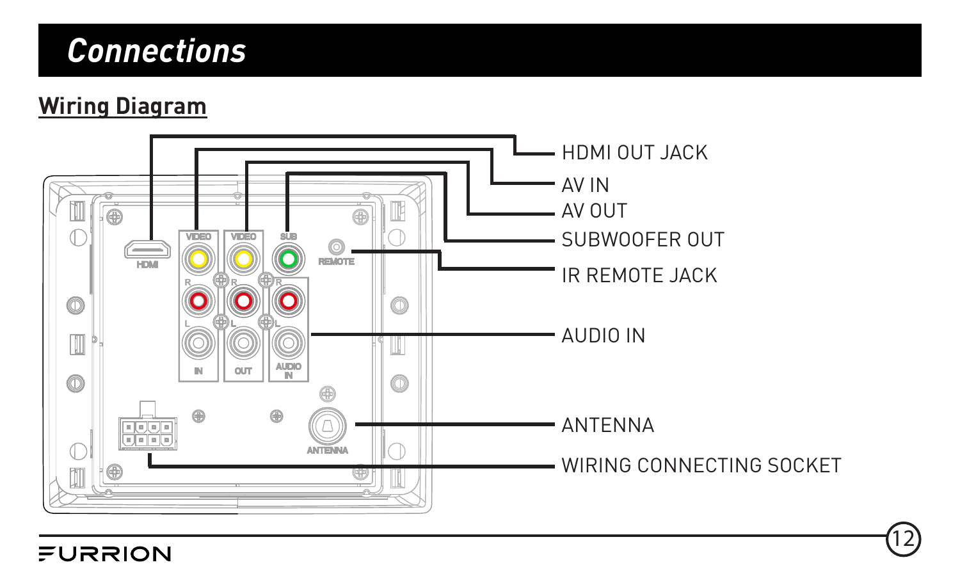#### **Wiring Diagram**



12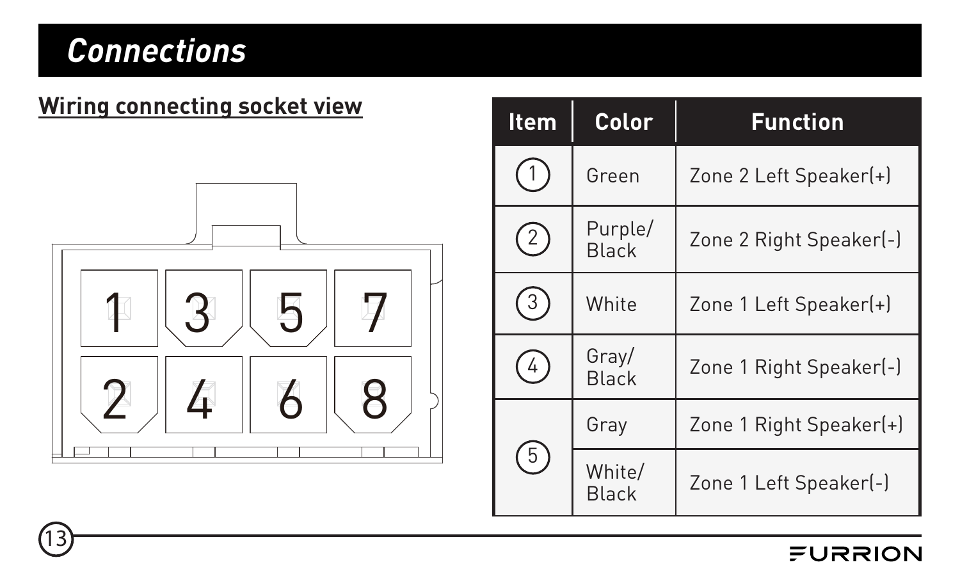13,

#### **Wiring connecting socket view**



| Item         | Color            | <b>Function</b>         |
|--------------|------------------|-------------------------|
|              | Green            | Zone 2 Left Speaker(+)  |
| $\hat{2}$    | Purple/<br>Black | Zone 2 Right Speaker(-) |
| $\mathbf{3}$ | White            | Zone 1 Left Speaker(+)  |
| 4            | Gray/<br>Black   | Zone 1 Right Speaker[-] |
|              | Gray             | Zone 1 Right Speaker(+) |
| 5            | White/<br>Black  | Zone 1 Left Speaker(-)  |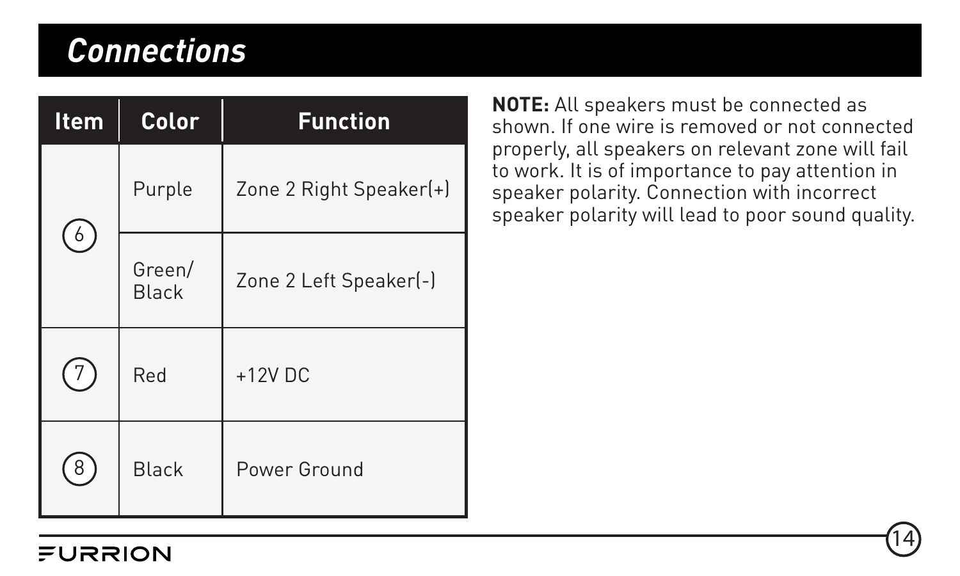| <b>Item</b> | Color           | <b>Function</b>         |
|-------------|-----------------|-------------------------|
|             | Purple          | Zone 2 Right Speaker(+) |
| 6           | Green/<br>Black | Zone 2 Left Speaker(-)  |
| 7           | Red             | $+12V$ DC               |
| 8           | Black           | Power Ground            |

**NOTE:** All speakers must be connected as shown. If one wire is removed or not connected properly, all speakers on relevant zone will fail to work. It is of importance to pay attention in speaker polarity. Connection with incorrect speaker polarity will lead to poor sound quality.

14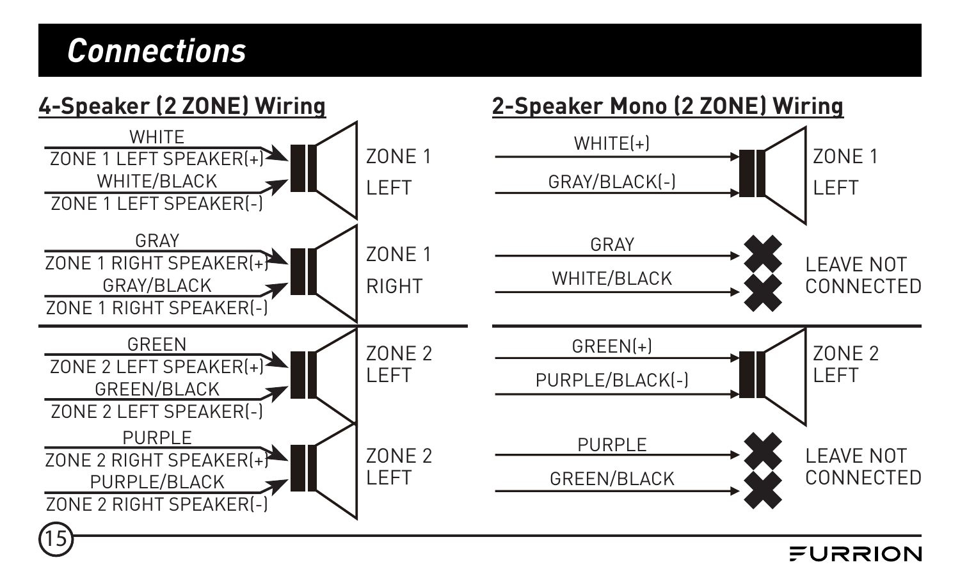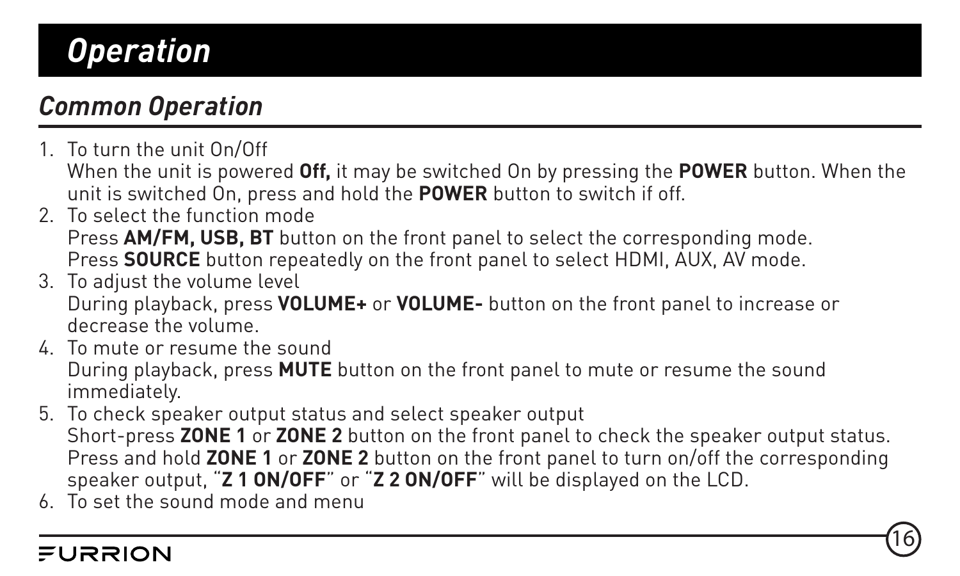#### <span id="page-16-0"></span>*Common Operation*

- 1. To turn the unit On/Off When the unit is powered **Off,** it may be switched On by pressing the **POWER** button. When the unit is switched On, press and hold the **POWER** button to switch if off.
- 2. To select the function mode Press **AM/FM, USB, BT** button on the front panel to select the corresponding mode. Press **SOURCE** button repeatedly on the front panel to select HDMI, AUX, AV mode.
- 3. To adjust the volume level During playback, press **VOLUME+** or **VOLUME-** button on the front panel to increase or decrease the volume.
- 4. To mute or resume the sound During playback, press **MUTE** button on the front panel to mute or resume the sound immediately.
- 5. To check speaker output status and select speaker output Short-press **ZONE 1** or **ZONE 2** button on the front panel to check the speaker output status. Press and hold **ZONE 1** or **ZONE 2** button on the front panel to turn on/off the corresponding speaker output, "**Z 1 ON/OFF**" or "**Z 2 ON/OFF**" will be displayed on the LCD.

16

6. To set the sound mode and menu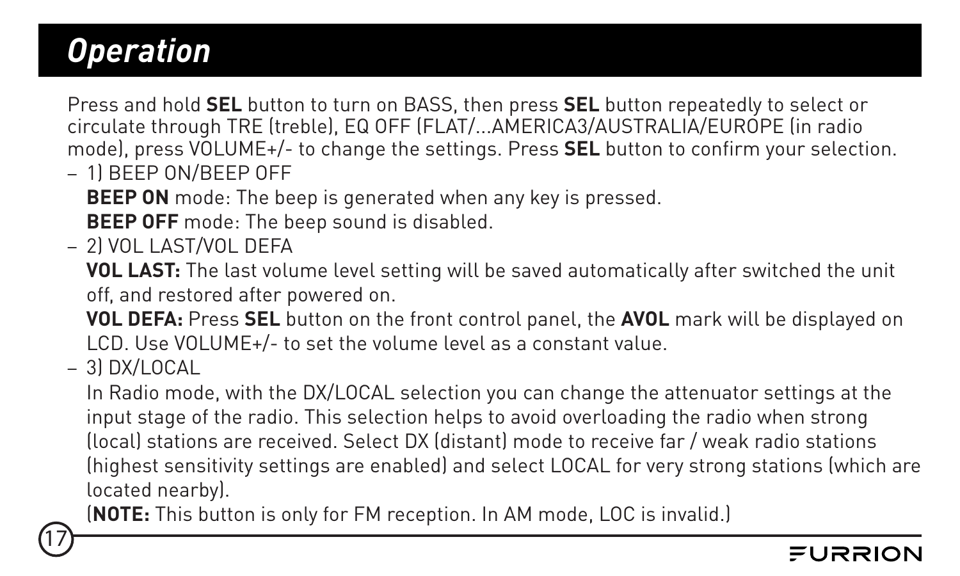Press and hold **SEL** button to turn on BASS, then press **SEL** button repeatedly to select or circulate through TRE (treble), EQ OFF (FLAT/...AMERICA3/AUSTRALIA/EUROPE (in radio mode), press VOLUME+/- to change the settings. Press **SEL** button to confirm your selection.

– 1) BEEP ON/BEEP OFF

**BEEP ON** mode: The beep is generated when any key is pressed.

**BEEP OFF** mode: The beep sound is disabled.

– 2) VOL LAST/VOL DEFA

**VOL LAST:** The last volume level setting will be saved automatically after switched the unit off, and restored after powered on.

**VOL DEFA:** Press **SEL** button on the front control panel, the **AVOL** mark will be displayed on LCD. Use VOLUME+/- to set the volume level as a constant value.

– 3) DX/LOCAL

17

In Radio mode, with the DX/LOCAL selection you can change the attenuator settings at the input stage of the radio. This selection helps to avoid overloading the radio when strong (local) stations are received. Select DX (distant) mode to receive far / weak radio stations (highest sensitivity settings are enabled) and select LOCAL for very strong stations (which are located nearby).

(**NOTE:** This button is only for FM reception. In AM mode, LOC is invalid.)

#### ニロママロハ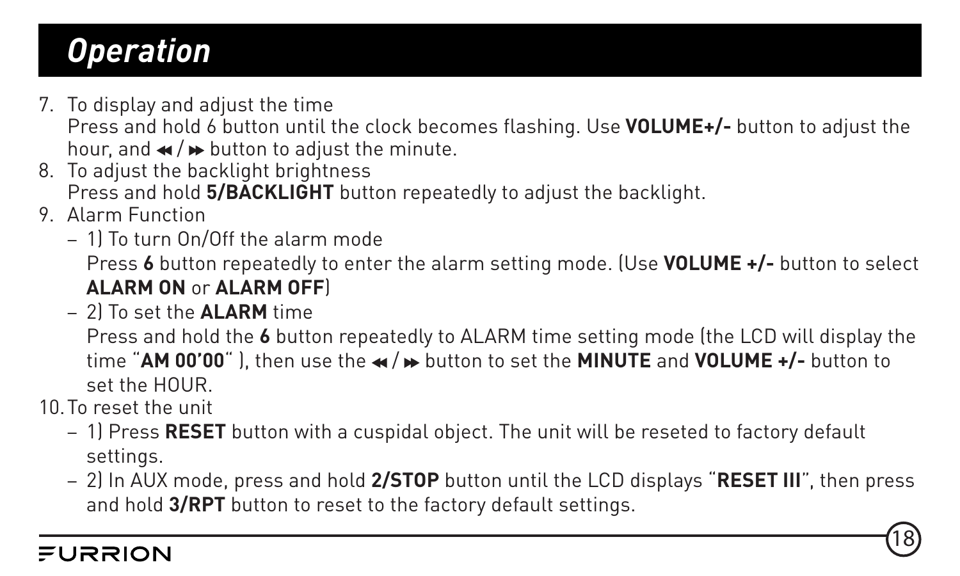7. To display and adjust the time

Press and hold 6 button until the clock becomes flashing. Use **VOLUME+/-** button to adjust the hour, and  $\mathbf{w}$  /  $\mathbf{b}$  button to adjust the minute.

- 8. To adjust the backlight brightness Press and hold **5/BACKLIGHT** button repeatedly to adjust the backlight.
- 9. Alarm Function
	- 1) To turn On/Off the alarm mode

Press **6** button repeatedly to enter the alarm setting mode. (Use **VOLUME +/-** button to select **ALARM ON** or **ALARM OFF**)

– 2) To set the **ALARM** time

Press and hold the **6** button repeatedly to ALARM time setting mode (the LCD will display the time "**AM 00'00**" ), then use the  $\star$  /  $\star$  button to set the **MINUTE** and **VOLUME** +/- button to set the HOUR.

10.To reset the unit

- 1) Press **RESET** button with a cuspidal object. The unit will be reseted to factory default settings.
- 2) In AUX mode, press and hold **2/STOP** button until the LCD displays "**RESET III**", then press and hold **3/RPT** button to reset to the factory default settings.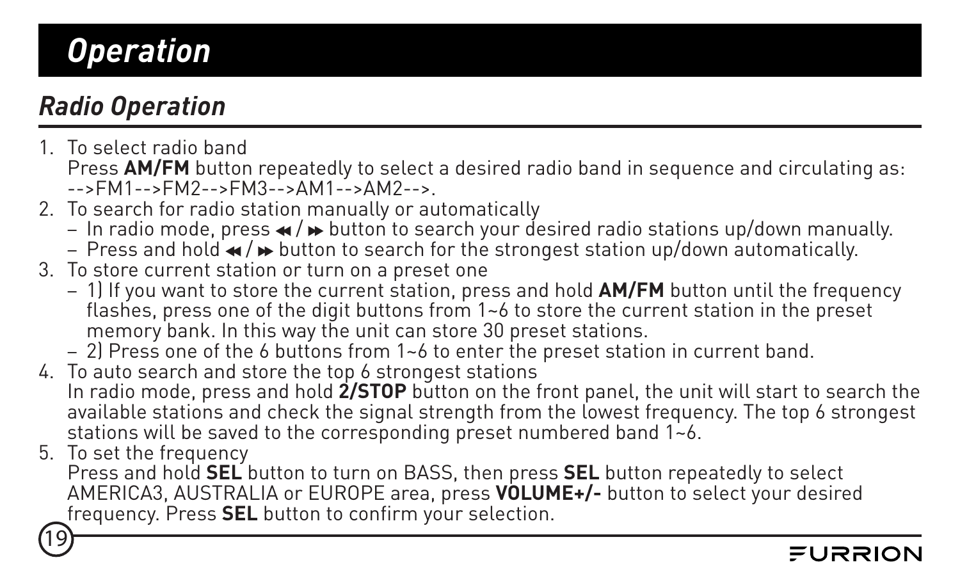#### <span id="page-19-0"></span>*Radio Operation*

1. To select radio band

Press AM/FM button repeatedly to select a desired radio band in sequence and circulating as: -->FM1-->FM2-->FM3-->AM1-->AM2-->.

- 2. To search for radio station manually or automatically
	- In radio mode, press  $\triangleleft$  / $\triangleright$  button to search your desired radio stations up/down manually.
	- Press and hold  $\bullet\bullet$  button to search for the strongest station up/down automatically.
- 3. To store current station or turn on a preset one
	- 1) If you want to store the current station, press and hold **AM/FM** button until the frequency flashes, press one of the digit buttons from  $1-6$  to store the current station in the preset memory bank. In this way the unit can store 30 preset stations.
	- 2) Press one of the 6 buttons from 1~6 to enter the preset station in current band.
- 4. To auto search and store the top 6 strongest stations In radio mode, press and hold **2/STOP** button on the front panel, the unit will start to search the available stations and check the signal strength from the lowest frequency. The top 6 strongest stations will be saved to the corresponding preset numbered band  $1-6$ .
- 5. To set the frequency

19

Press and hold **SEL** button to turn on BASS, then press **SEL** button repeatedly to select AMERICA3, AUSTRALIA or EUROPE area, press **VOLUME+/-** button to select your desired frequency. Press **SEL** button to confirm your selection.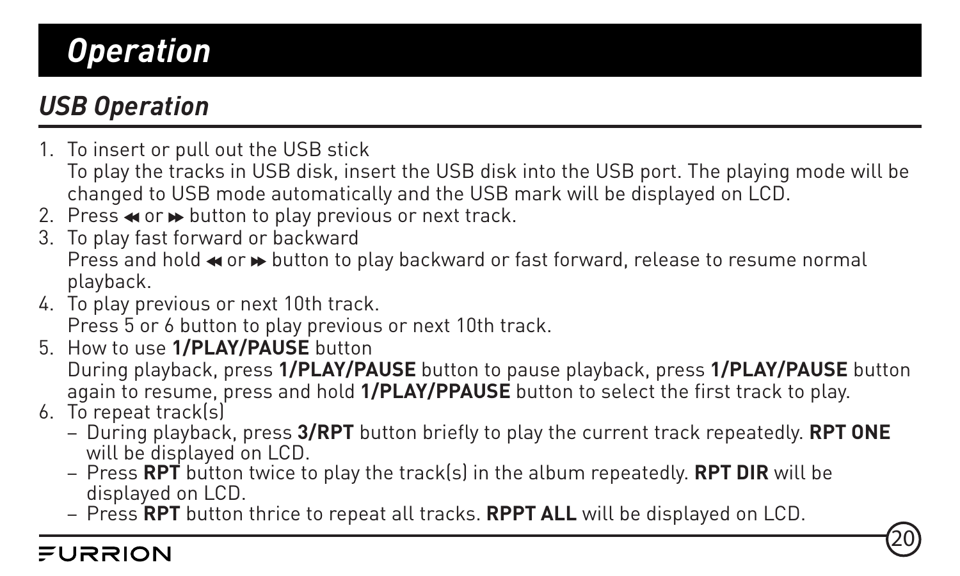#### <span id="page-20-0"></span>*USB Operation*

- 1. To insert or pull out the USB stick
- To play the tracks in USB disk, insert the USB disk into the USB port. The playing mode will be changed to USB mode automatically and the USB mark will be displayed on LCD.
- 2. Press  $\triangleleft$  or  $\triangleright$  button to play previous or next track.
- 3. To play fast forward or backward Press and hold  $\leftrightarrow$  or  $\leftrightarrow$  button to play backward or fast forward, release to resume normal playback.
- 4. To play previous or next 10th track. Press 5 or 6 button to play previous or next 10th track.
- 5. How to use **1/PLAY/PAUSE** button During playback, press **1/PLAY/PAUSE** button to pause playback, press **1/PLAY/PAUSE** button again to resume, press and hold **1/PLAY/PPAUSE** button to select the first track to play.
- 6. To repeat track(s)
	- During playback, press **3/RPT** button briefly to play the current track repeatedly. **RPT ONE** will be displayed on LCD.

- Press **RPT** button twice to play the track(s) in the album repeatedly. **RPT DIR** will be displayed on LCD.
- Press **RPT** button thrice to repeat all tracks. **RPPT ALL** will be displayed on LCD.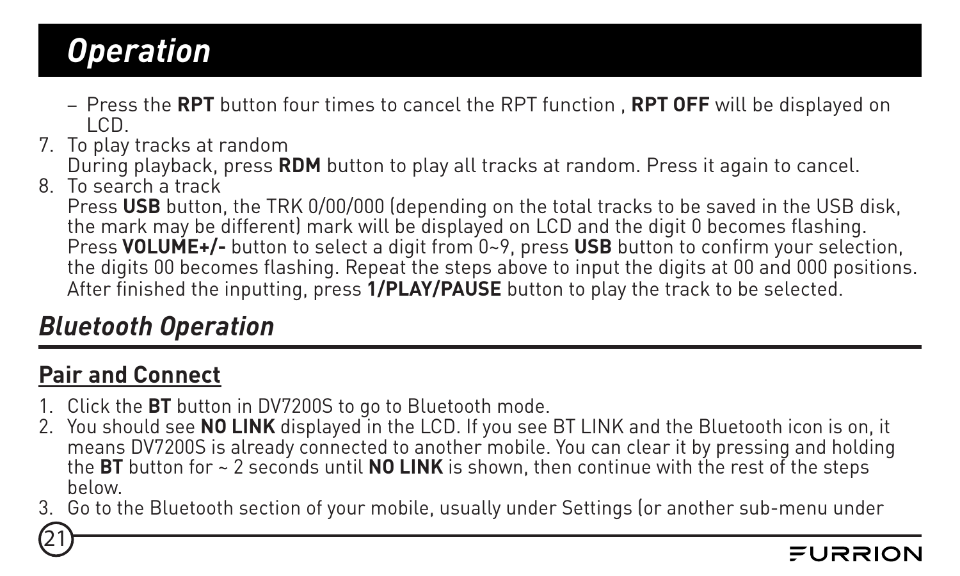- <span id="page-21-0"></span>– Press the **RPT** button four times to cancel the RPT function , **RPT OFF** will be displayed on LCD. 7. To play tracks at random
- 
- During playback, press **RDM** button to play all tracks at random. Press it again to cancel. 8. To search a track
- 

Press **USB** button, the TRK 0/00/000 (depending on the total tracks to be saved in the USB disk, the mark may be different) mark will be displayed on LCD and the digit 0 becomes flashing. Press **VOLUME+/-** button to select a digit from 0~9, press **USB** button to confirm your selection, the digits 00 becomes flashing. Repeat the steps above to input the digits at 00 and 000 positions. After finished the inputting, press **1/PLAY/PAUSE** button to play the track to be selected.

#### *Bluetooth Operation*

#### **Pair and Connect**

- 1. Click the **BT** button in DV7200S to go to Bluetooth mode.
- 2. You should see **NO LINK** displayed in the LCD. If you see BT LINK and the Bluetooth icon is on, it means DV7200S is already connected to another mobile. You can clear it by pressing and holding the **BT** button for ~ 2 seconds until **NO LINK** is shown, then continue with the rest of the steps below.
- 3. Go to the Bluetooth section of your mobile, usually under Settings (or another sub-menu under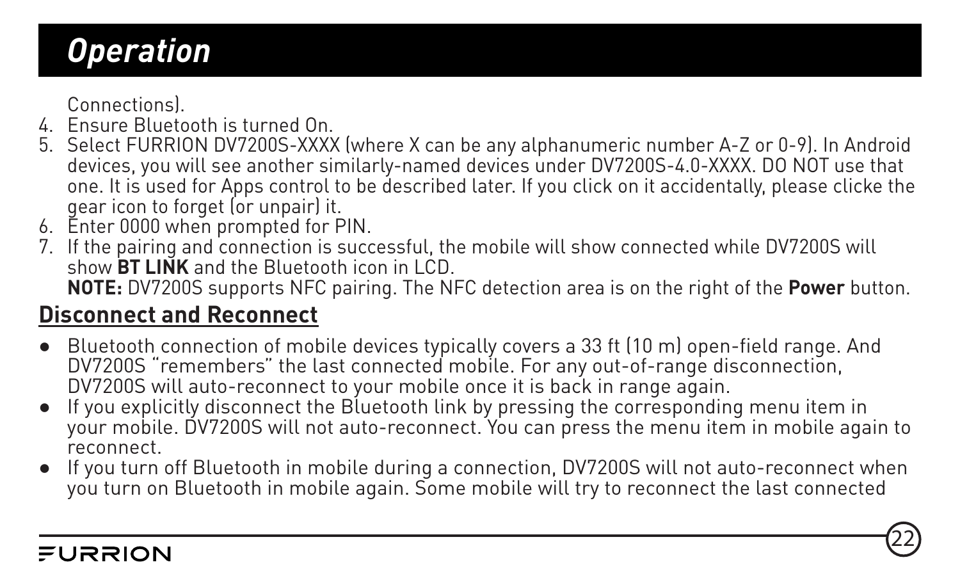Connections).

- 4. Ensure Bluetooth is turned On.
- 5. Select FURRION DV7200S-XXXX (where X can be any alphanumeric number A-Z or 0-9). In Android devices, you will see another similarly-named devices under DV7200S-4.0-XXXX. DO NOT use that one. It is used for Apps control to be described later. If you click on it accidentally, please clicke the gear icon to forget (or unpair) it.
- 6. Enter 0000 when prompted for PIN.
- 7. If the pairing and connection is successful, the mobile will show connected while DV7200S will show **BT LINK** and the Bluetooth icon in LCD.

**NOTE:** DV7200S supports NFC pairing. The NFC detection area is on the right of the **Power** button.

#### **Disconnect and Reconnect**

- Bluetooth connection of mobile devices typically covers a 33 ft (10 m) open-field range. And DV7200S "remembers" the last connected mobile. For any out-of-range disconnection, DV7200S will auto-reconnect to your mobile once it is back in range again.
- If you explicitly disconnect the Bluetooth link by pressing the corresponding menu item in your mobile. DV7200S will not auto-reconnect. You can press the menu item in mobile again to reconnect.
- If you turn off Bluetooth in mobile during a connection, DV7200S will not auto-reconnect when you turn on Bluetooth in mobile again. Some mobile will try to reconnect the last connected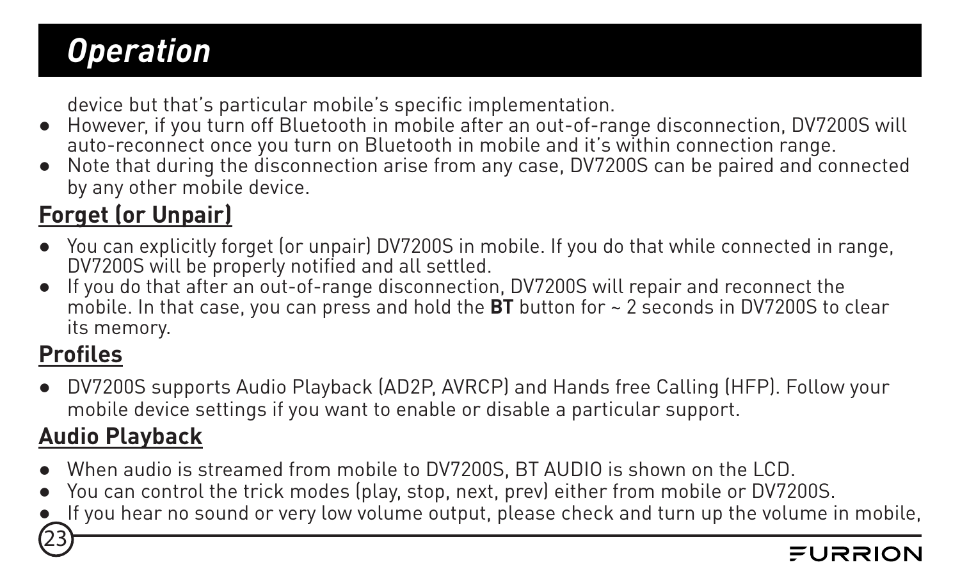device but that's particular mobile's specific implementation.

- However, if you turn off Bluetooth in mobile after an out-of-range disconnection, DV7200S will auto-reconnect once you turn on Bluetooth in mobile and it's within connection range.
- Note that during the disconnection arise from any case, DV7200S can be paired and connected by any other mobile device.

#### **Forget (or Unpair)**

- You can explicitly forget (or unpair) DV7200S in mobile. If you do that while connected in range, DV7200S will be properly notified and all settled.
- If you do that after an out-of-range disconnection, DV7200S will repair and reconnect the mobile. In that case, you can press and hold the **BT** button for ~ 2 seconds in DV7200S to clear its memory.

#### **Profiles**

23

● DV7200S supports Audio Playback (AD2P, AVRCP) and Hands free Calling (HFP). Follow your mobile device settings if you want to enable or disable a particular support.

#### **Audio Playback**

- When audio is streamed from mobile to DV7200S, BT AUDIO is shown on the LCD.
- You can control the trick modes (play, stop, next, prev) either from mobile or DV7200S.
- If you hear no sound or very low volume output, please check and turn up the volume in mobile,

#### ニロママロハ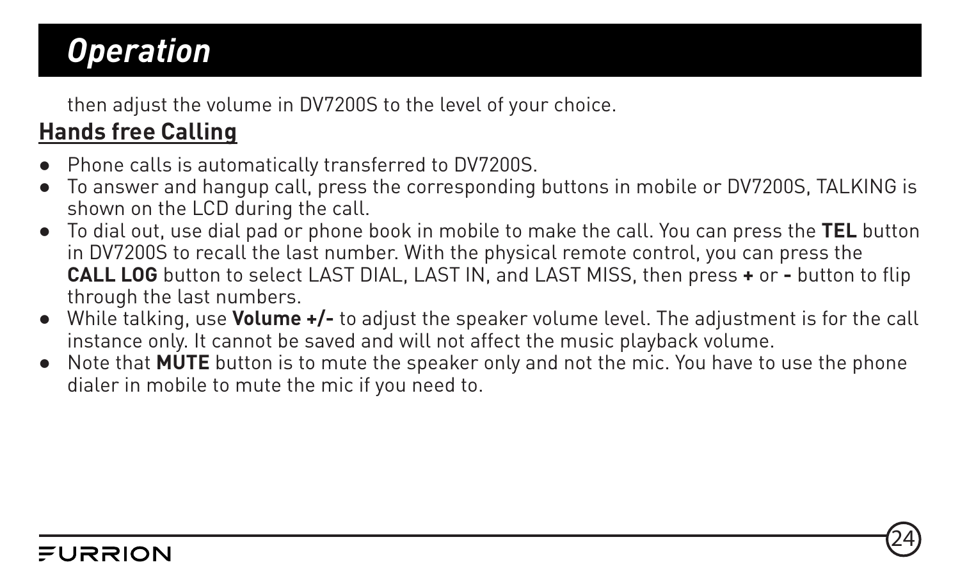then adjust the volume in DV7200S to the level of your choice.

#### **Hands free Calling**

- Phone calls is automatically transferred to DV7200S.
- To answer and hangup call, press the corresponding buttons in mobile or DV7200S, TALKING is shown on the LCD during the call.
- To dial out, use dial pad or phone book in mobile to make the call. You can press the **TEL** button in DV7200S to recall the last number. With the physical remote control, you can press the **CALL LOG** button to select LAST DIAL, LAST IN, and LAST MISS, then press **+** or **-** button to flip through the last numbers.
- While talking, use **Volume +/-** to adjust the speaker volume level. The adjustment is for the call instance only. It cannot be saved and will not affect the music playback volume.
- Note that **MUTE** button is to mute the speaker only and not the mic. You have to use the phone dialer in mobile to mute the mic if you need to.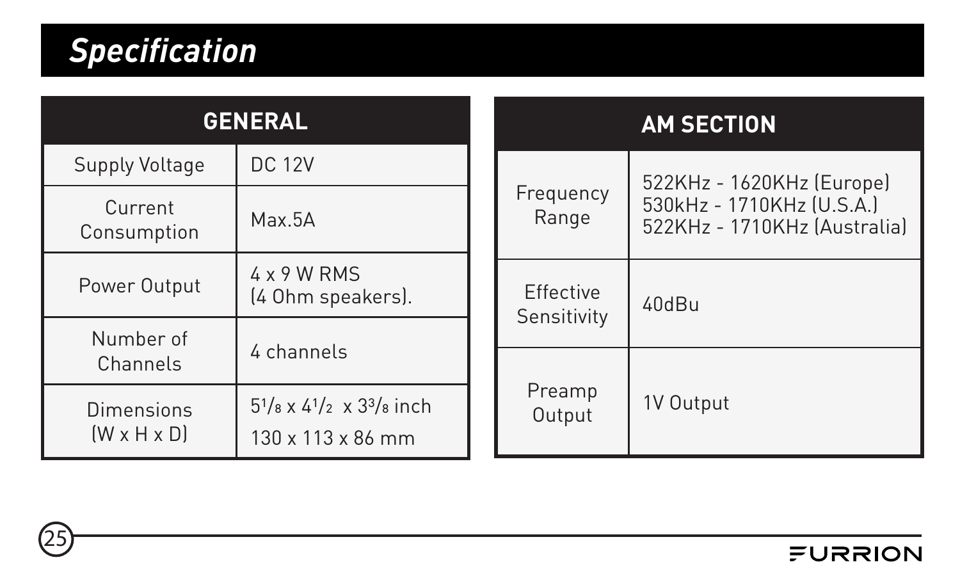### <span id="page-25-0"></span>*Specification*

| <b>GENERAL</b>                        |                                                                                  |                  |                          | <b>AM SECTION</b>                                                                      |  |
|---------------------------------------|----------------------------------------------------------------------------------|------------------|--------------------------|----------------------------------------------------------------------------------------|--|
| Supply Voltage                        | <b>DC 12V</b>                                                                    |                  |                          | 522KHz - 1620KHz (Europe)<br>530kHz - 1710KHz (U.S.A.)<br>522KHz - 1710KHz (Australia) |  |
| Current<br>Consumption                | Max.5A                                                                           |                  | Frequency<br>Range       |                                                                                        |  |
| Power Output                          | 4 x 9 W RMS<br>[4 Ohm speakers].                                                 |                  | Effective<br>Sensitivity | 40dBu                                                                                  |  |
| Number of                             | 4 channels                                                                       |                  |                          |                                                                                        |  |
| Channels                              |                                                                                  |                  |                          |                                                                                        |  |
| Dimensions<br>$(W \times H \times D)$ | $5^{1}/_{8}$ x $4^{1}/_{2}$ x $3^{3}/_{8}$ inch<br>$130 \times 113 \times 86$ mm | Preamp<br>Output |                          | 1V Output                                                                              |  |

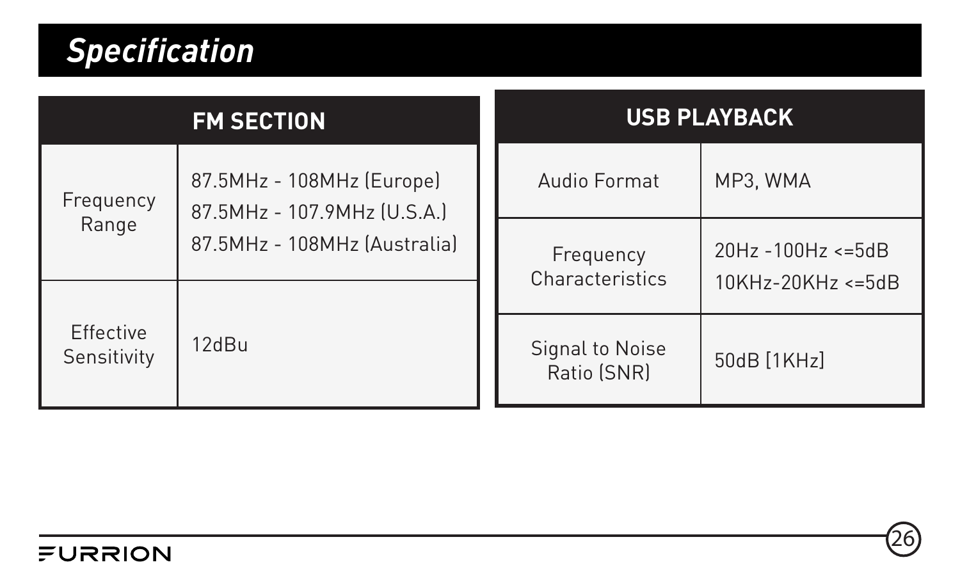### *Specification*

| <b>FM SECTION</b>        |                                                          |                              | <b>USB PLAYBACK</b>                      |             |  |
|--------------------------|----------------------------------------------------------|------------------------------|------------------------------------------|-------------|--|
| Frequency<br>Range       | 87.5MHz - 108MHz (Europe)<br>87.5MHz - 107.9MHz (U.S.A.) |                              | Audio Format                             | MP3. WMA    |  |
|                          | 87.5MHz - 108MHz (Australia)                             | Frequency<br>Characteristics | 20Hz -100Hz <= 5dB<br>10KHz-20KHz <= 5dB |             |  |
| Effective<br>Sensitivity | 12dBu                                                    |                              | Signal to Noise<br>Ratio (SNR)           | 50dB [1KHz] |  |